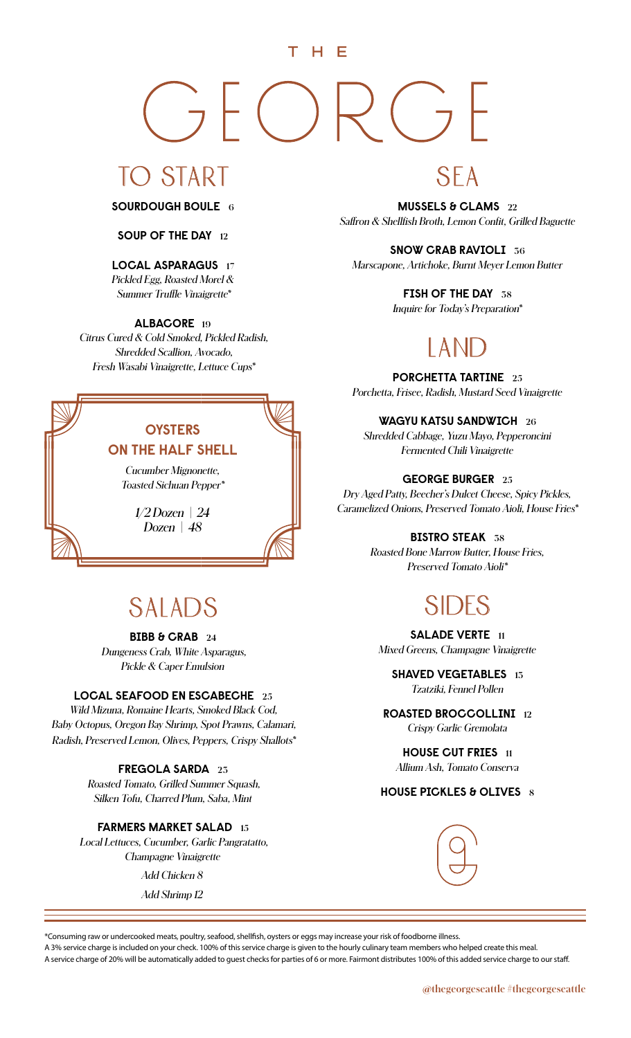#### THE

## $\frac{1}{2}$  (  $\begin{pmatrix} 1 & 1 \\ -1 & 1 \end{pmatrix}$

## TO START

**SOURDOUGH BOULE <sup>6</sup>**

#### **SOUP OF THE DAY <sup>12</sup>**

#### **LOCAL ASPARAGUS <sup>17</sup>**

*Pickled Egg, Roasted Morel & Summer Truffle Vinaigrette\**

#### **ALBACORE <sup>19</sup>**

*Citrus Cured & Cold Smoked, Pickled Radish, Shredded Scallion, Avocado, Fresh Wasabi Vinaigrette, Lettuce Cups\**

### **OYSTERS ON THE HALF SHELL**  *Cucumber Mignonette, Toasted Sichuan Pepper\* 1/2 Dozen | 24*

*Dozen | 48*

## SALADS

**BIBB & CRAB <sup>24</sup>** *Dungeness Crab, White Asparagus, Pickle & Caper Emulsion*

#### **LOCAL SEAFOOD EN ESCABECHE <sup>25</sup>**

*Wild Mizuna, Romaine Hearts, Smoked Black Cod, Baby Octopus, Oregon Bay Shrimp, Spot Prawns, Calamari, Radish, Preserved Lemon, Olives, Peppers, Crispy Shallots\**

#### **FREGOLA SARDA <sup>23</sup>**

*Roasted Tomato, Grilled Summer Squash, Silken Tofu, Charred Plum, Saba, Mint*

#### **FARMERS MARKET SALAD <sup>15</sup>**

*Local Lettuces, Cucumber, Garlic Pangratatto, Champagne Vinaigrette Add Chicken 8*

*Add Shrimp 12*

## SEA

**MUSSELS & CLAMS <sup>22</sup>** *Saffron & Shellfish Broth, Lemon Confit, Grilled Baguette*

#### **SNOW CRAB RAVIOLI <sup>36</sup>**

*Marscapone, Artichoke, Burnt Meyer Lemon Butter*

#### **FISH OF THE DAY <sup>38</sup>**

*Inquire for Today's Preparation\**

## LAN

**PORCHETTA TARTINE <sup>25</sup>** *Porchetta, Frisee, Radish, Mustard Seed Vinaigrette*

**WAGYU KATSU SANDWICH <sup>26</sup>**

*Shredded Cabbage, Yuzu Mayo, Pepperoncini Fermented Chili Vinaigrette*

#### **GEORGE BURGER <sup>25</sup>**

*Dry Aged Patty, Beecher's Dulcet Cheese, Spicy Pickles, Caramelized Onions, Preserved Tomato Aioli, House Fries\**

#### **BISTRO STEAK <sup>38</sup>**

*Roasted Bone Marrow Butter, House Fries, Preserved Tomato Aioli\**

## SIDES

**SALADE VERTE <sup>11</sup>** *Mixed Greens, Champagne Vinaigrette* 

**SHAVED VEGETABLES <sup>13</sup>**  *Tzatziki, Fennel Pollen*

**ROASTED BROCCOLLINI <sup>12</sup>**  *Crispy Garlic Gremolata*

**HOUSE CUT FRIES <sup>11</sup>** *Allium Ash, Tomato Conserva*

#### **HOUSE PICKLES & OLIVES 8**



\*Consuming raw or undercooked meats, poultry, seafood, shellfish, oysters or eggs may increase your risk of foodborne illness.

A 3% service charge is included on your check. 100% of this service charge is given to the hourly culinary team members who helped create this meal. A service charge of 20% will be automatically added to guest checks for parties of 6 or more. Fairmont distributes 100% of this added service charge to our staff.